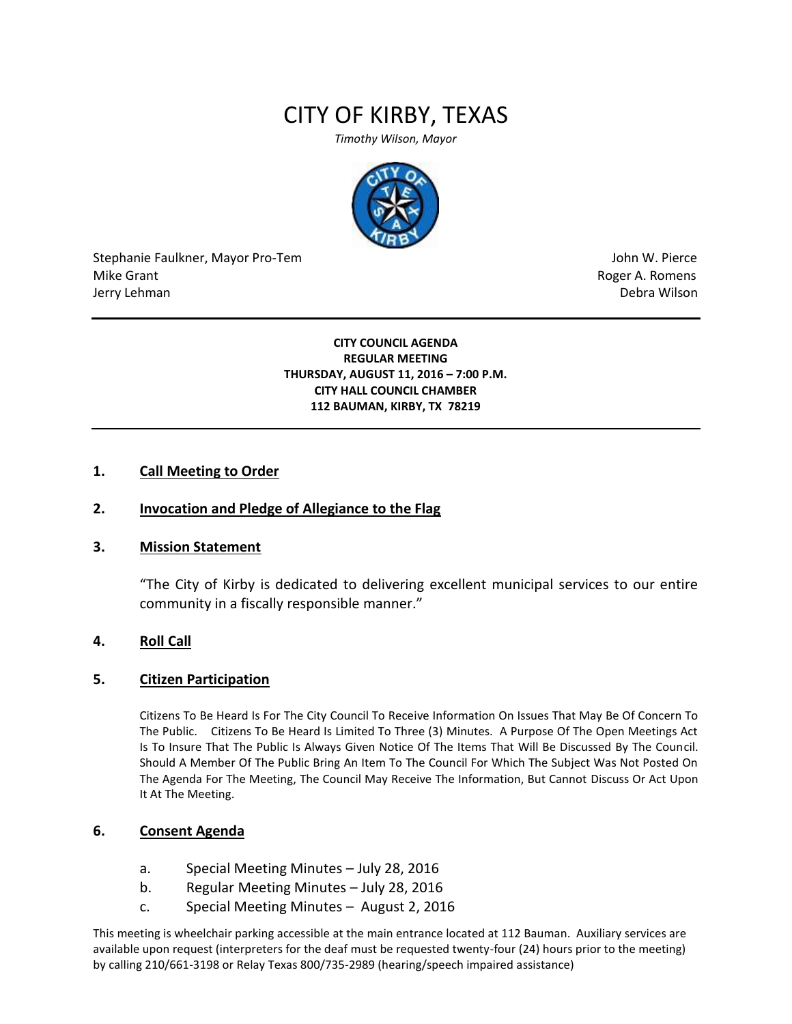# CITY OF KIRBY, TEXAS

*Timothy Wilson, Mayor*



Stephanie Faulkner, Mayor Pro-Tem John W. Pierce Mike Grant **Mike Grant** Roger A. Romens **Contract A. Romens Roger A. Romens** Jerry Lehman Debra Wilson (2008) and the state of the state of the state of the state of the state of the state of the state of the state of the state of the state of the state of the state of the state of the state of the

#### **CITY COUNCIL AGENDA REGULAR MEETING THURSDAY, AUGUST 11, 2016 – 7:00 P.M. CITY HALL COUNCIL CHAMBER 112 BAUMAN, KIRBY, TX 78219**

#### **1. Call Meeting to Order**

#### **2. Invocation and Pledge of Allegiance to the Flag**

#### **3. Mission Statement**

"The City of Kirby is dedicated to delivering excellent municipal services to our entire community in a fiscally responsible manner."

#### **4. Roll Call**

#### **5. Citizen Participation**

Citizens To Be Heard Is For The City Council To Receive Information On Issues That May Be Of Concern To The Public. Citizens To Be Heard Is Limited To Three (3) Minutes. A Purpose Of The Open Meetings Act Is To Insure That The Public Is Always Given Notice Of The Items That Will Be Discussed By The Council. Should A Member Of The Public Bring An Item To The Council For Which The Subject Was Not Posted On The Agenda For The Meeting, The Council May Receive The Information, But Cannot Discuss Or Act Upon It At The Meeting.

## **6. Consent Agenda**

- a. Special Meeting Minutes July 28, 2016
- b. Regular Meeting Minutes July 28, 2016
- c. Special Meeting Minutes August 2, 2016

This meeting is wheelchair parking accessible at the main entrance located at 112 Bauman. Auxiliary services are available upon request (interpreters for the deaf must be requested twenty-four (24) hours prior to the meeting) by calling 210/661-3198 or Relay Texas 800/735-2989 (hearing/speech impaired assistance)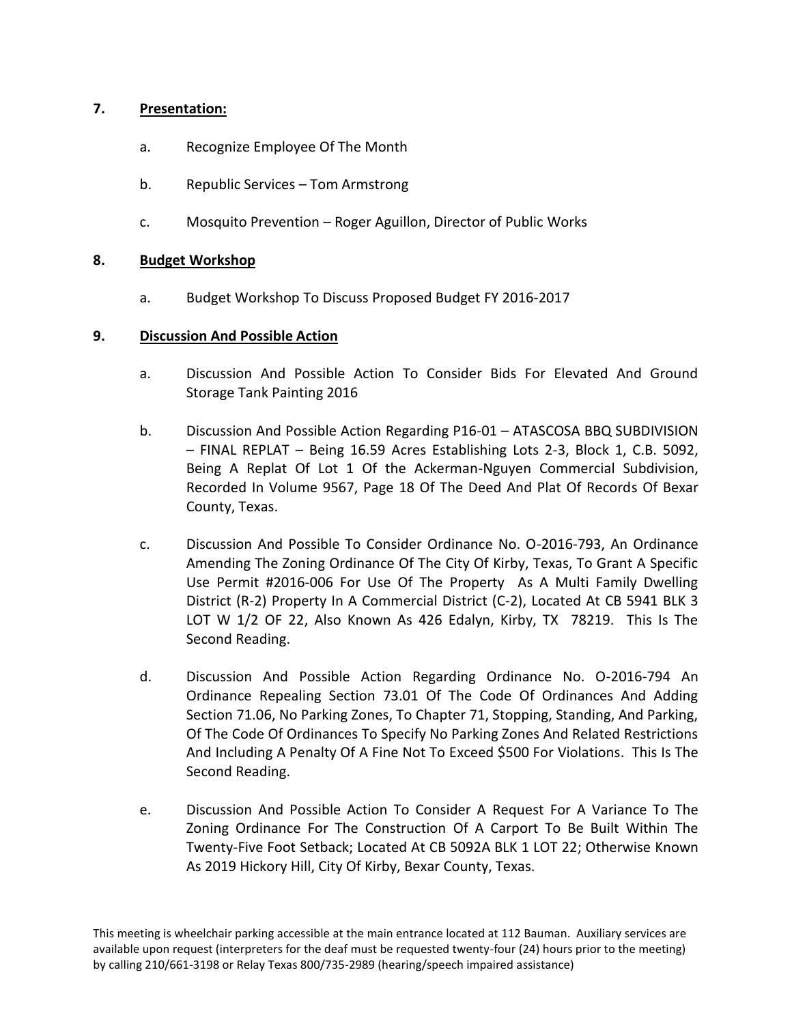# **7. Presentation:**

- a. Recognize Employee Of The Month
- b. Republic Services Tom Armstrong
- c. Mosquito Prevention Roger Aguillon, Director of Public Works

## **8. Budget Workshop**

a. Budget Workshop To Discuss Proposed Budget FY 2016-2017

## **9. Discussion And Possible Action**

- a. Discussion And Possible Action To Consider Bids For Elevated And Ground Storage Tank Painting 2016
- b. Discussion And Possible Action Regarding P16-01 ATASCOSA BBQ SUBDIVISION – FINAL REPLAT – Being 16.59 Acres Establishing Lots 2-3, Block 1, C.B. 5092, Being A Replat Of Lot 1 Of the Ackerman-Nguyen Commercial Subdivision, Recorded In Volume 9567, Page 18 Of The Deed And Plat Of Records Of Bexar County, Texas.
- c. Discussion And Possible To Consider Ordinance No. O-2016-793, An Ordinance Amending The Zoning Ordinance Of The City Of Kirby, Texas, To Grant A Specific Use Permit #2016-006 For Use Of The Property As A Multi Family Dwelling District (R-2) Property In A Commercial District (C-2), Located At CB 5941 BLK 3 LOT W 1/2 OF 22, Also Known As 426 Edalyn, Kirby, TX 78219. This Is The Second Reading.
- d. Discussion And Possible Action Regarding Ordinance No. O-2016-794 An Ordinance Repealing Section 73.01 Of The Code Of Ordinances And Adding Section 71.06, No Parking Zones, To Chapter 71, Stopping, Standing, And Parking, Of The Code Of Ordinances To Specify No Parking Zones And Related Restrictions And Including A Penalty Of A Fine Not To Exceed \$500 For Violations. This Is The Second Reading.
- e. Discussion And Possible Action To Consider A Request For A Variance To The Zoning Ordinance For The Construction Of A Carport To Be Built Within The Twenty-Five Foot Setback; Located At CB 5092A BLK 1 LOT 22; Otherwise Known As 2019 Hickory Hill, City Of Kirby, Bexar County, Texas.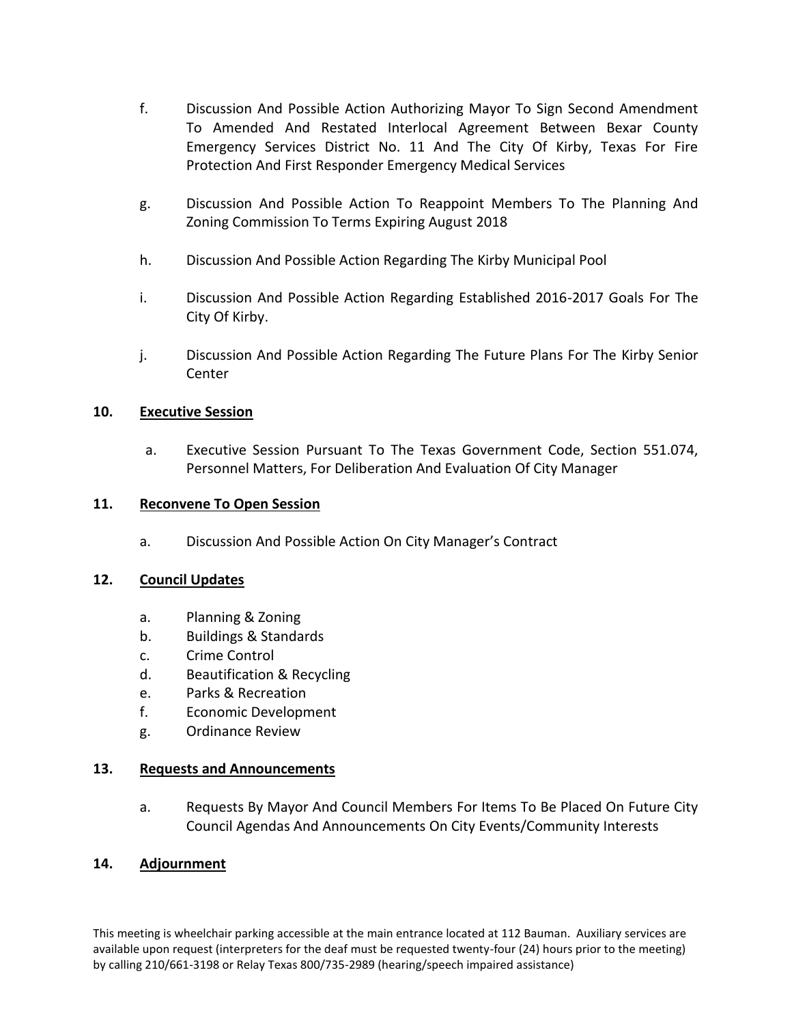- f. Discussion And Possible Action Authorizing Mayor To Sign Second Amendment To Amended And Restated Interlocal Agreement Between Bexar County Emergency Services District No. 11 And The City Of Kirby, Texas For Fire Protection And First Responder Emergency Medical Services
- g. Discussion And Possible Action To Reappoint Members To The Planning And Zoning Commission To Terms Expiring August 2018
- h. Discussion And Possible Action Regarding The Kirby Municipal Pool
- i. Discussion And Possible Action Regarding Established 2016-2017 Goals For The City Of Kirby.
- j. Discussion And Possible Action Regarding The Future Plans For The Kirby Senior Center

# **10. Executive Session**

a. Executive Session Pursuant To The Texas Government Code, Section 551.074, Personnel Matters, For Deliberation And Evaluation Of City Manager

## **11. Reconvene To Open Session**

a. Discussion And Possible Action On City Manager's Contract

## **12. Council Updates**

- a. Planning & Zoning
- b. Buildings & Standards
- c. Crime Control
- d. Beautification & Recycling
- e. Parks & Recreation
- f. Economic Development
- g. Ordinance Review

## **13. Requests and Announcements**

a. Requests By Mayor And Council Members For Items To Be Placed On Future City Council Agendas And Announcements On City Events/Community Interests

## **14. Adjournment**

This meeting is wheelchair parking accessible at the main entrance located at 112 Bauman. Auxiliary services are available upon request (interpreters for the deaf must be requested twenty-four (24) hours prior to the meeting) by calling 210/661-3198 or Relay Texas 800/735-2989 (hearing/speech impaired assistance)